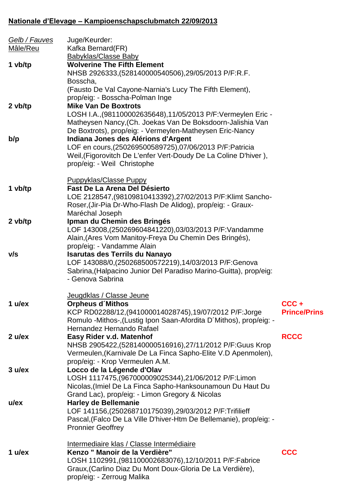## **Nationale d'Elevage – Kampioenschapsclubmatch 22/09/2013**

| <u>Gelb / Fauves</u><br>Mâle/Reu | Juge/Keurder:<br>Kafka Bernard(FR)                                                                                                                                                                                                 |                             |
|----------------------------------|------------------------------------------------------------------------------------------------------------------------------------------------------------------------------------------------------------------------------------|-----------------------------|
|                                  | <b>Babyklas/Classe Baby</b>                                                                                                                                                                                                        |                             |
| 1 vb/tp                          | <b>Wolverine The Fifth Element</b><br>NHSB 2926333, (528140000540506), 29/05/2013 P/F:R.F.<br>Bosscha,<br>(Fausto De Val Cayone-Narnia's Lucy The Fifth Element),<br>prop/eig: - Bosscha-Polman Inge                               |                             |
| 2 vb/tp                          | <b>Mike Van De Boxtrots</b><br>LOSH I.A., (981100002635648), 11/05/2013 P/F: Vermeylen Eric -<br>Matheysen Nancy, (Ch. Joekas Van De Boksdoorn-Jalishia Van<br>De Boxtrots), prop/eig: - Vermeylen-Matheysen Eric-Nancy            |                             |
| b/p                              | Indiana Jones des Alérions d'Argent<br>LOF en cours, (250269500589725), 07/06/2013 P/F: Patricia<br>Weil, (Figorovitch De L'enfer Vert-Doudy De La Coline D'hiver),<br>prop/eig: - Weil Christophe                                 |                             |
| 1 vb/tp                          | <b>Puppyklas/Classe Puppy</b><br>Fast De La Arena Del Désierto<br>LOE 2128547, (98109810413392), 27/02/2013 P/F: Klimt Sancho-<br>Roser, (Jir-Pia Dr-Who-Flash De Alidog), prop/eig: - Graux-<br>Maréchal Joseph                   |                             |
| 2 vb/tp                          | Ipman du Chemin des Bringés<br>LOF 143008,(250269604841220),03/03/2013 P/F:Vandamme<br>Alain, (Ares Vom Manitoy-Freya Du Chemin Des Bringés),<br>prop/eig: - Vandamme Alain                                                        |                             |
| V/S                              | <b>Isarutas des Terrils du Nanayo</b><br>LOF 143088/0, (250268500572219), 14/03/2013 P/F: Genova<br>Sabrina, (Halpacino Junior Del Paradiso Marino-Guitta), prop/eig:<br>- Genova Sabrina                                          |                             |
| 1 $u$ /ex                        | Jeugdklas / Classe Jeune<br><b>Orpheus d'Mithos</b><br>KCP RD02288/12, (941000014028745), 19/07/2012 P/F: Jorge<br>Romulo -Mithos-, (Lustig Ipon Saan-Afordita D'Mithos), prop/eig: -<br>Hernandez Hernando Rafael                 | CCC+<br><b>Prince/Prins</b> |
| $2$ u/ex                         | Easy Rider v.d. Matenhof<br>NHSB 2905422, (528140000516916), 27/11/2012 P/F: Guus Krop<br>Vermeulen, (Karnivale De La Finca Sapho-Elite V.D Apenmolen),<br>prop/eig: - Krop Vermeulen A.M.                                         | <b>RCCC</b>                 |
| 3 ulex                           | Locco de la Légende d'Olav<br>LOSH 1117475, (967000009025344), 21/06/2012 P/F: Limon<br>Nicolas, (Imiel De La Finca Sapho-Hanksounamoun Du Haut Du<br>Grand Lac), prop/eig: - Limon Gregory & Nicolas                              |                             |
| $u$ /ex                          | <b>Harley de Bellemanie</b><br>LOF 141156, (250268710175039), 29/03/2012 P/F: Trifilieff<br>Pascal, (Falco De La Ville D'hiver-Htm De Bellemanie), prop/eig: -<br><b>Pronnier Geoffrey</b>                                         |                             |
| 1 $u$ /ex                        | Intermediaire klas / Classe Intermédiaire<br>Kenzo " Manoir de la Verdière"<br>LOSH 1102991, (981100002683076), 12/10/2011 P/F: Fabrice<br>Graux, (Carlino Diaz Du Mont Doux-Gloria De La Verdière),<br>prop/eig: - Zerroug Malika | <b>CCC</b>                  |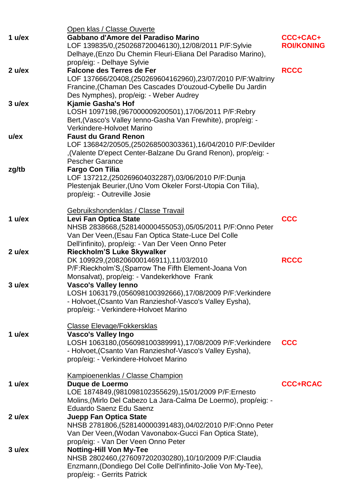|           | Open klas / Classe Ouverte                                                                                                                                                                                                                |                               |
|-----------|-------------------------------------------------------------------------------------------------------------------------------------------------------------------------------------------------------------------------------------------|-------------------------------|
| 1 $u$ /ex | Gabbano d'Amore del Paradiso Marino<br>LOF 139835/0, (250268720046130), 12/08/2011 P/F:Sylvie<br>Delhaye, (Enzo Du Chemin Fleuri-Eliana Del Paradiso Marino),<br>prop/eig: - Delhaye Sylvie                                               | CCC+CAC+<br><b>ROI/KONING</b> |
| 2 ulex    | <b>Falcone des Terres de Fer</b><br>LOF 137666/20408,(250269604162960),23/07/2010 P/F:Waltriny<br>Francine, (Chaman Des Cascades D'ouzoud-Cybelle Du Jardin<br>Des Nymphes), prop/eig: - Weber Audrey                                     | <b>RCCC</b>                   |
| 3 ulex    | <b>Kjamie Gasha's Hof</b><br>LOSH 1097198, (967000009200501), 17/06/2011 P/F:Rebry<br>Bert, (Vasco's Valley Ienno-Gasha Van Frewhite), prop/eig: -<br>Verkindere-Holvoet Marino                                                           |                               |
| $u$ /ex   | <b>Faust du Grand Renon</b><br>LOF 136842/20505,(250268500303361),16/04/2010 P/F:Devilder<br>, (Valente D'epect Center-Balzane Du Grand Renon), prop/eig: -<br><b>Pescher Garance</b>                                                     |                               |
| zg/tb     | <b>Fargo Con Tilia</b><br>LOF 137212,(250269604032287),03/06/2010 P/F:Dunja<br>Plestenjak Beurier, (Uno Vom Okeler Forst-Utopia Con Tilia),<br>prop/eig: - Outreville Josie                                                               |                               |
| 1 $u$ /ex | Gebruikshondenklas / Classe Travail<br>Levi Fan Optica State<br>NHSB 2838668, (528140000455053), 05/05/2011 P/F: Onno Peter<br>Van Der Veen, (Esau Fan Optica State-Luce Del Colle<br>Dell'infinito), prop/eig: - Van Der Veen Onno Peter | <b>CCC</b>                    |
| 2 ulex    | <b>Rieckholm'S Luke Skywalker</b><br>DK 109929, (208206000146911), 11/03/2010<br>P/F:Rieckholm'S, (Sparrow The Fifth Element-Joana Von<br>Monsalvat), prop/eig: - Vandekerkhove Frank                                                     | <b>RCCC</b>                   |
| 3 ulex    | <b>Vasco's Valley lenno</b><br>LOSH 1063179,(056098100392666),17/08/2009 P/F:Verkindere<br>- Holvoet, (Csanto Van Ranzieshof-Vasco's Valley Eysha),<br>prop/eig: - Verkindere-Holvoet Marino                                              |                               |
| 1 $u$ /ex | <b>Classe Elevage/Fokkersklas</b><br><b>Vasco's Valley Ingo</b><br>LOSH 1063180, (056098100389991), 17/08/2009 P/F: Verkindere<br>- Holvoet, (Csanto Van Ranzieshof-Vasco's Valley Eysha),<br>prop/eig: - Verkindere-Holvoet Marino       | <b>CCC</b>                    |
| 1 $u$ /ex | <b>Kampioenenklas / Classe Champion</b><br>Duque de Loermo<br>LOE 1874849,(981098102355629),15/01/2009 P/F:Ernesto<br>Molins, (Mirlo Del Cabezo La Jara-Calma De Loermo), prop/eig: -<br>Eduardo Saenz Edu Saenz                          | <b>CCC+RCAC</b>               |
| 2 ulex    | <b>Juepp Fan Optica State</b><br>NHSB 2781806, (528140000391483), 04/02/2010 P/F: Onno Peter<br>Van Der Veen, (Wodan Vavonabox-Gucci Fan Optica State),<br>prop/eig: - Van Der Veen Onno Peter                                            |                               |
| 3 u/ex    | <b>Notting-Hill Von My-Tee</b><br>NHSB 2802460,(276097202030280),10/10/2009 P/F:Claudia<br>Enzmann, (Dondiego Del Colle Dell'infinito-Jolie Von My-Tee),<br>prop/eig: - Gerrits Patrick                                                   |                               |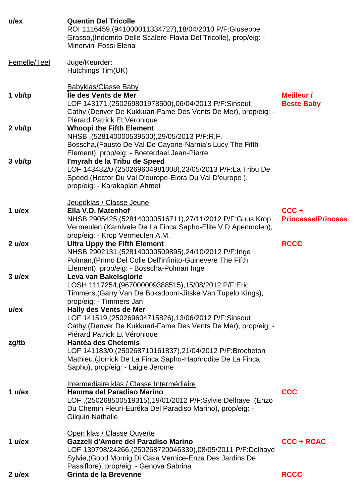| $u$ /ex      | <b>Quentin Del Tricolle</b><br>ROI 1116459, (941000011334727), 18/04/2010 P/F: Giuseppe<br>Grasso, (Indomito Delle Scalere-Flavia Del Tricolle), prop/eig: -<br>Minervini Fossi Elena                                                      |                                      |
|--------------|--------------------------------------------------------------------------------------------------------------------------------------------------------------------------------------------------------------------------------------------|--------------------------------------|
| Femelle/Teef | Juge/Keurder:<br>Hutchings Tim(UK)                                                                                                                                                                                                         |                                      |
| 1 vb/tp      | <b>Babyklas/Classe Baby</b><br>Île des Vents de Mer<br>LOF 143171,(250269801978500),06/04/2013 P/F:Sinsout<br>Cathy, (Denver De Kukkuari-Fame Des Vents De Mer), prop/eig: -<br>Piérard Patrick Et Véronique                               | Meilleur /<br><b>Beste Baby</b>      |
| $2$ vb/tp    | <b>Whoopi the Fifth Element</b><br>NHSB, (528140000539500), 29/05/2013 P/F:R.F.<br>Bosscha, (Fausto De Val De Cayone-Narnia's Lucy The Fifth<br>Element), prop/eig: - Boeterdael Jean-Pierre                                               |                                      |
| 3 vb/tp      | l'myrah de la Tribu de Speed<br>LOF 143482/0, (250269604981008), 23/05/2013 P/F:La Tribu De<br>Speed, (Hector Du Val D'europe-Elora Du Val D'europe),<br>prop/eig: - Karakaplan Ahmet                                                      |                                      |
| 1 $u$ /ex    | Jeugdklas / Classe Jeune<br>Ella V.D. Matenhof<br>NHSB 2905425, (528140000516711), 27/11/2012 P/F: Guus Krop<br>Vermeulen, (Karnivale De La Finca Sapho-Elite V.D Apenmolen),<br>prop/eig: - Krop Vermeulen A.M.                           | $CCC +$<br><b>Princesse/Princess</b> |
| 2 ulex       | <b>Ultra Uppy the Fifth Element</b><br>NHSB 2902131, (528140000509895), 24/10/2012 P/F: Inge<br>Polman, (Primo Del Colle Dell'infinito-Guinevere The Fifth<br>Element), prop/eig: - Bosscha-Polman Inge                                    | <b>RCCC</b>                          |
| 3 ulex       | Leva van Bakelsglorie<br>LOSH 1117254, (967000009388515), 15/08/2012 P/F:Eric<br>Timmers, (Garry Van De Boksdoorn-Jitske Van Tupelo Kings),<br>prop/eig: - Timmers Jan                                                                     |                                      |
| $u$ /ex      | <b>Hally des Vents de Mer</b><br>LOF 141519,(250269604715826),13/06/2012 P/F:Sinsout<br>Cathy, (Denver De Kukkuari-Fame Des Vents De Mer), prop/eig: -<br>Piérard Patrick Et Véronique                                                     |                                      |
| zg/tb        | <b>Hantéa des Chetemis</b><br>LOF 141183/0, (250268710161837), 21/04/2012 P/F: Brocheton<br>Mathieu, (Jorrick De La Finca Sapho-Haphrodite De La Finca<br>Sapho), prop/eig: - Laigle Jerome                                                |                                      |
| 1 $u$ /ex    | Intermediaire klas / Classe Intermédiaire<br>Hamma del Paradiso Marino<br>LOF, (250268500519315), 19/01/2012 P/F:Sylvie Delhaye, 250268500519315),<br>Du Chemin Fleuri-Euréka Del Paradiso Marino), prop/eig: -<br><b>Gilquin Nathalie</b> | <b>CCC</b>                           |
| 1 $u$ /ex    | Open klas / Classe Ouverte<br>Gazzeli d'Amore del Paradiso Marino<br>LOF 139798/24266, (250268720046339), 08/05/2011 P/F: Delhaye<br>Sylvie, (Good Mornig Di Casa Vernice-Enza Des Jardins De<br>Passiflore), prop/eig: - Genova Sabrina   | <b>CCC + RCAC</b>                    |
| 2 ulex       | <b>Grinta de la Brevenne</b>                                                                                                                                                                                                               | <b>RCCC</b>                          |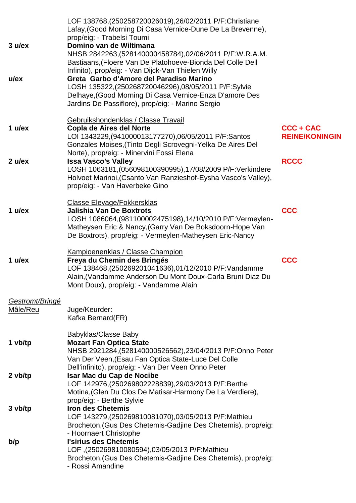| 3 ulex<br>$u$ /ex           | LOF 138768, (250258720026019), 26/02/2011 P/F: Christiane<br>Lafay, (Good Morning Di Casa Vernice-Dune De La Brevenne),<br>prop/eig: - Trabelsi Toumi<br>Domino van de Wiltimana<br>NHSB 2842263, (528140000458784), 02/06/2011 P/F:W.R.A.M.<br>Bastiaans, (Floere Van De Platohoeve-Bionda Del Colle Dell<br>Infinito), prop/eig: - Van Dijck-Van Thielen Willy<br>Greta Garbo d'Amore del Paradiso Marino<br>LOSH 135322,(250268720046296),08/05/2011 P/F:Sylvie<br>Delhaye, (Good Morning Di Casa Vernice-Enza D'amore Des<br>Jardins De Passiflore), prop/eig: - Marino Sergio |                                    |
|-----------------------------|------------------------------------------------------------------------------------------------------------------------------------------------------------------------------------------------------------------------------------------------------------------------------------------------------------------------------------------------------------------------------------------------------------------------------------------------------------------------------------------------------------------------------------------------------------------------------------|------------------------------------|
| 1 $u$ /ex                   | Gebruikshondenklas / Classe Travail<br>Copla de Aires del Norte<br>LOI 1343229, (941000013177270), 06/05/2011 P/F: Santos<br>Gonzales Moises, (Tinto Degli Scrovegni-Yelka De Aires Del                                                                                                                                                                                                                                                                                                                                                                                            | CCC + CAC<br><b>REINE/KONINGIN</b> |
| 2 ulex                      | Norte), prop/eig: - Minervini Fossi Elena<br><b>Issa Vasco's Valley</b><br>LOSH 1063181, (056098100390995), 17/08/2009 P/F: Verkindere<br>Holvoet Marinoi, (Csanto Van Ranzieshof-Eysha Vasco's Valley),<br>prop/eig: - Van Haverbeke Gino                                                                                                                                                                                                                                                                                                                                         | <b>RCCC</b>                        |
| 1 $u$ /ex                   | Classe Elevage/Fokkersklas<br><b>Jalishia Van De Boxtrots</b><br>LOSH 1086064, (981100002475198), 14/10/2010 P/F: Vermeylen-<br>Matheysen Eric & Nancy, (Garry Van De Boksdoorn-Hope Van<br>De Boxtrots), prop/eig: - Vermeylen-Matheysen Eric-Nancy                                                                                                                                                                                                                                                                                                                               | <b>CCC</b>                         |
| 1 $u$ /ex                   | Kampioenenklas / Classe Champion<br>Freya du Chemin des Bringés<br>LOF 138468, (250269201041636), 01/12/2010 P/F: Vandamme<br>Alain, (Vandamme Anderson Du Mont Doux-Carla Bruni Diaz Du<br>Mont Doux), prop/eig: - Vandamme Alain                                                                                                                                                                                                                                                                                                                                                 | <b>CCC</b>                         |
| Gestromt/Bringé<br>Mâle/Reu | Juge/Keurder:<br>Kafka Bernard(FR)                                                                                                                                                                                                                                                                                                                                                                                                                                                                                                                                                 |                                    |
| 1 vb/tp                     | <b>Babyklas/Classe Baby</b><br><b>Mozart Fan Optica State</b><br>NHSB 2921284, (528140000526562), 23/04/2013 P/F: Onno Peter<br>Van Der Veen, (Esau Fan Optica State-Luce Del Colle                                                                                                                                                                                                                                                                                                                                                                                                |                                    |
| 2 vb/tp                     | Dell'infinito), prop/eig: - Van Der Veen Onno Peter<br>Isar Mac du Cap de Nocibe<br>LOF 142976, (250269802228839), 29/03/2013 P/F: Berthe<br>Motina, (Glen Du Clos De Matisar-Harmony De La Verdiere),<br>prop/eig: - Berthe Sylvie                                                                                                                                                                                                                                                                                                                                                |                                    |
| 3 vb/tp                     | <b>Iron des Chetemis</b><br>LOF 143279, (250269810081070), 03/05/2013 P/F: Mathieu<br>Brocheton, (Gus Des Chetemis-Gadjine Des Chetemis), prop/eig:<br>- Hoornaert Christophe                                                                                                                                                                                                                                                                                                                                                                                                      |                                    |
| b/p                         | l'sirius des Chetemis<br>LOF, (250269810080594), 03/05/2013 P/F: Mathieu<br>Brocheton, (Gus Des Chetemis-Gadjine Des Chetemis), prop/eig:<br>- Rossi Amandine                                                                                                                                                                                                                                                                                                                                                                                                                      |                                    |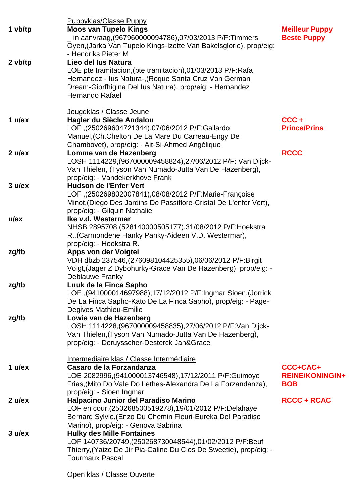|           | <b>Puppyklas/Classe Puppy</b>                                                     |                        |
|-----------|-----------------------------------------------------------------------------------|------------------------|
| 1 vb/tp   | <b>Moos van Tupelo Kings</b>                                                      | <b>Meilleur Puppy</b>  |
|           | nin aanvraag, (967960000094786), 07/03/2013 P/F: Timmers                          | <b>Beste Puppy</b>     |
|           | Oyen, (Jarka Van Tupelo Kings-Izette Van Bakelsglorie), prop/eig:                 |                        |
|           | - Hendriks Pieter M                                                               |                        |
| $2$ vb/tp | Lieo del lus Natura                                                               |                        |
|           | LOE pte tramitacion, (pte tramitacion), 01/03/2013 P/F: Rafa                      |                        |
|           | Hernandez - Ius Natura-, (Roque Santa Cruz Von German                             |                        |
|           | Dream-Giorfhigina Del lus Natura), prop/eig: - Hernandez                          |                        |
|           | Hernando Rafael                                                                   |                        |
|           |                                                                                   |                        |
|           | Jeugdklas / Classe Jeune                                                          |                        |
| 1 $u$ /ex | Hagler du Siècle Andalou                                                          | CCC+                   |
|           | LOF, (250269604721344), 07/06/2012 P/F: Gallardo                                  | <b>Prince/Prins</b>    |
|           | Manuel, (Ch. Chelton De La Mare Du Carreau-Engy De                                |                        |
|           | Chambovet), prop/eig: - Ait-Si-Ahmed Angélique                                    |                        |
| 2 ulex    | Lomme van de Hazenberg                                                            | <b>RCCC</b>            |
|           | LOSH 1114229, (967000009458824), 27/06/2012 P/F: Van Dijck-                       |                        |
|           | Van Thielen, (Tyson Van Numado-Jutta Van De Hazenberg),                           |                        |
|           | prop/eig: - Vandekerkhove Frank                                                   |                        |
| 3 ulex    | <b>Hudson de l'Enfer Vert</b>                                                     |                        |
|           | LOF, (250269802007841), 08/08/2012 P/F: Marie-Françoise                           |                        |
|           | Minot, (Diégo Des Jardins De Passiflore-Cristal De L'enfer Vert),                 |                        |
|           | prop/eig: - Gilquin Nathalie                                                      |                        |
| $u$ /ex   | Ike v.d. Westermar                                                                |                        |
|           | NHSB 2895708, (528140000505177), 31/08/2012 P/F: Hoekstra                         |                        |
|           | R., (Carmondene Hanky Panky-Aideen V.D. Westermar),                               |                        |
|           | prop/eig: - Hoekstra R.                                                           |                        |
| zg/tb     | Apps von der Voigtei                                                              |                        |
|           | VDH dbzb 237546, (276098104425355), 06/06/2012 P/F: Birgit                        |                        |
|           | Voigt, (Jager Z Dybohurky-Grace Van De Hazenberg), prop/eig: -<br>Deblauwe Franky |                        |
| zg/tb     | Luuk de la Finca Sapho                                                            |                        |
|           | LOE ,(941000014697988),17/12/2012 P/F:Ingmar Sioen,(Jorrick                       |                        |
|           | De La Finca Sapho-Kato De La Finca Sapho), prop/eig: - Page-                      |                        |
|           | Degives Mathieu-Emilie                                                            |                        |
| zg/tb     | Lowie van de Hazenberg                                                            |                        |
|           | LOSH 1114228, (967000009458835), 27/06/2012 P/F: Van Dijck-                       |                        |
|           | Van Thielen, (Tyson Van Numado-Jutta Van De Hazenberg),                           |                        |
|           | prop/eig: - Deruysscher-Desterck Jan&Grace                                        |                        |
|           |                                                                                   |                        |
|           | Intermediaire klas / Classe Intermédiaire                                         |                        |
| 1 $u$ /ex | Casaro de la Forzandanza                                                          | CCC+CAC+               |
|           | LOE 2082996, (941000013746548), 17/12/2011 P/F: Guimoye                           | <b>REINE/KONINGIN+</b> |
|           | Frias, (Mito Do Vale Do Lethes-Alexandra De La Forzandanza),                      | <b>BOB</b>             |
|           | prop/eig: - Sioen Ingmar                                                          |                        |
| 2 ulex    | Halpacino Junior del Paradiso Marino                                              | <b>RCCC + RCAC</b>     |
|           | LOF en cour, (250268500519278), 19/01/2012 P/F: Delahaye                          |                        |
|           | Bernard Sylvie, (Enzo Du Chemin Fleuri-Eureka Del Paradiso                        |                        |
|           | Marino), prop/eig: - Genova Sabrina                                               |                        |
| 3 ulex    | <b>Hulky des Mille Fontaines</b>                                                  |                        |
|           | LOF 140736/20749, (250268730048544), 01/02/2012 P/F:Beuf                          |                        |
|           | Thierry, (Yaizo De Jir Pia-Caline Du Clos De Sweetie), prop/eig: -                |                        |
|           | <b>Fourmaux Pascal</b>                                                            |                        |
|           |                                                                                   |                        |
|           | Open klas / Classe Ouverte                                                        |                        |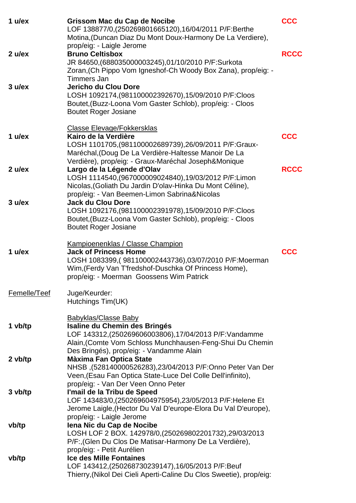| 1 $u$ /ex    | <b>Grissom Mac du Cap de Nocibe</b><br>LOF 138877/0, (250269801665120), 16/04/2011 P/F: Berthe<br>Motina, (Duncan Diaz Du Mont Doux-Harmony De La Verdiere),                                                                          | <b>CCC</b>  |
|--------------|---------------------------------------------------------------------------------------------------------------------------------------------------------------------------------------------------------------------------------------|-------------|
| $2$ u/ex     | prop/eig: - Laigle Jerome<br><b>Bruno Celtisbox</b><br>JR 84650, (688035000003245), 01/10/2010 P/F: Surkota<br>Zoran, (Ch Pippo Vom Igneshof-Ch Woody Box Zana), prop/eig: -<br><b>Timmers Jan</b>                                    | <b>RCCC</b> |
| 3 ulex       | Jericho du Clou Dore<br>LOSH 1092174, (981100002392670), 15/09/2010 P/F:Cloos<br>Boutet, (Buzz-Loona Vom Gaster Schlob), prop/eig: - Cloos<br><b>Boutet Roger Josiane</b>                                                             |             |
| 1 $u$ /ex    | <b>Classe Elevage/Fokkersklas</b><br>Kairo de la Verdière<br>LOSH 1101705, (981100002689739), 26/09/2011 P/F: Graux-<br>Maréchal, (Doug De La Verdière-Haltesse Manoir De La<br>Verdière), prop/eig: - Graux-Maréchal Joseph&Monique  | <b>CCC</b>  |
| 2 ulex       | Largo de la Légende d'Olav<br>LOSH 1114540, (967000009024840), 19/03/2012 P/F: Limon<br>Nicolas, (Goliath Du Jardin D'olav-Hinka Du Mont Céline),<br>prop/eig: - Van Beemen-Limon Sabrina&Nicolas                                     | <b>RCCC</b> |
| 3 ulex       | <b>Jack du Clou Dore</b><br>LOSH 1092176, (981100002391978), 15/09/2010 P/F:Cloos<br>Boutet, (Buzz-Loona Vom Gaster Schlob), prop/eig: - Cloos<br><b>Boutet Roger Josiane</b>                                                         |             |
| 1 $u$ /ex    | <b>Kampioenenklas / Classe Champion</b><br><b>Jack of Princess Home</b><br>LOSH 1083399,(981100002443736),03/07/2010 P/F:Moerman<br>Wim, (Ferdy Van T'fredshof-Duschka Of Princess Home),<br>prop/eig: - Moerman Goossens Wim Patrick | <b>CCC</b>  |
| Femelle/Teef | Juge/Keurder:<br>Hutchings Tim(UK)                                                                                                                                                                                                    |             |
| 1 vb/tp      | <b>Babyklas/Classe Baby</b><br>Isaline du Chemin des Bringés<br>LOF 143312, (250269606003806), 17/04/2013 P/F: Vandamme<br>Alain, (Comte Vom Schloss Munchhausen-Feng-Shui Du Chemin                                                  |             |
| 2 vb/tp      | Des Bringés), prop/eig: - Vandamme Alain<br><b>Màxima Fan Optica State</b><br>NHSB, (528140000526283), 23/04/2013 P/F:Onno Peter Van Der<br>Veen, (Esau Fan Optica State-Luce Del Colle Dell'infinito),                               |             |
| $3$ vb/tp    | prop/eig: - Van Der Veen Onno Peter<br>l'mail de la Tribu de Speed<br>LOF 143483/0, (250269604975954), 23/05/2013 P/F: Helene Et<br>Jerome Laigle, (Hector Du Val D'europe-Elora Du Val D'europe),                                    |             |
| vb/tp        | prop/eig: - Laigle Jerome<br>lena Nic du Cap de Nocibe<br>LOSH LOF 2 BOX. 142978/0, (250269802201732), 29/03/2013<br>P/F:, (Glen Du Clos De Matisar-Harmony De La Verdière),                                                          |             |
| vb/tp        | prop/eig: - Petit Aurélien<br><b>Ice des Mille Fontaines</b><br>LOF 143412, (250268730239147), 16/05/2013 P/F:Beuf<br>Thierry, (Nikol Dei Cieli Aperti-Caline Du Clos Sweetie), prop/eig:                                             |             |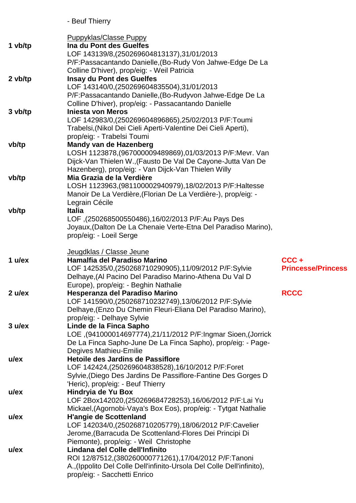- Beuf Thierry

|           | <b>Puppyklas/Classe Puppy</b>                                                                           |                                      |
|-----------|---------------------------------------------------------------------------------------------------------|--------------------------------------|
| 1 vb/tp   | Ina du Pont des Guelfes                                                                                 |                                      |
|           | LOF 143139/8, (250269604813137), 31/01/2013                                                             |                                      |
|           | P/F:Passacantando Danielle, (Bo-Rudy Von Jahwe-Edge De La                                               |                                      |
|           | Colline D'hiver), prop/eig: - Weil Patricia                                                             |                                      |
| $2$ vb/tp | <b>Insay du Pont des Guelfes</b>                                                                        |                                      |
|           | LOF 143140/0, (250269604835504), 31/01/2013<br>P/F:Passacantando Danielle, (Bo-Rudyvon Jahwe-Edge De La |                                      |
|           | Colline D'hiver), prop/eig: - Passacantando Danielle                                                    |                                      |
| 3 vb/tp   | <b>Injesta von Meros</b>                                                                                |                                      |
|           | LOF 142983/0, (250269604896865), 25/02/2013 P/F:Toumi                                                   |                                      |
|           | Trabelsi, (Nikol Dei Cieli Aperti-Valentine Dei Cieli Aperti),                                          |                                      |
|           | prop/eig: - Trabelsi Toumi                                                                              |                                      |
| vb/tp     | <b>Mandy van de Hazenberg</b>                                                                           |                                      |
|           | LOSH 1123878, (967000009489869), 01/03/2013 P/F: Mevr. Van                                              |                                      |
|           | Dijck-Van Thielen W., (Fausto De Val De Cayone-Jutta Van De                                             |                                      |
|           | Hazenberg), prop/eig: - Van Dijck-Van Thielen Willy                                                     |                                      |
| vb/tp     | Mia Grazia de la Verdière                                                                               |                                      |
|           | LOSH 1123963, (981100002940979), 18/02/2013 P/F: Haltesse                                               |                                      |
|           | Manoir De La Verdière, (Florian De La Verdière-), prop/eig: -                                           |                                      |
|           | Legrain Cécile                                                                                          |                                      |
| vb/tp     | <b>Italia</b>                                                                                           |                                      |
|           | LOF, (250268500550486), 16/02/2013 P/F: Au Pays Des                                                     |                                      |
|           | Joyaux, (Dalton De La Chenaie Verte-Etna Del Paradiso Marino),                                          |                                      |
|           | prop/eig: - Loeil Serge                                                                                 |                                      |
|           | Jeugdklas / Classe Jeune                                                                                |                                      |
|           |                                                                                                         |                                      |
|           |                                                                                                         |                                      |
| 1 $u$ /ex | Hamalfia del Paradiso Marino                                                                            | $CCC +$<br><b>Princesse/Princess</b> |
|           | LOF 142535/0, (250268710290905), 11/09/2012 P/F:Sylvie                                                  |                                      |
|           | Delhaye, (Al Pacino Del Paradiso Marino-Athena Du Val D<br>Europe), prop/eig: - Beghin Nathalie         |                                      |
| 2 u/ex    | Hesperanza del Paradiso Marino                                                                          | <b>RCCC</b>                          |
|           | LOF 141590/0,(250268710232749),13/06/2012 P/F:Sylvie                                                    |                                      |
|           | Delhaye, (Enzo Du Chemin Fleuri-Eliana Del Paradiso Marino),                                            |                                      |
|           | prop/eig: - Delhaye Sylvie                                                                              |                                      |
| 3 u/ex    | Linde de la Finca Sapho                                                                                 |                                      |
|           | LOE, (941000014697774), 21/11/2012 P/F: Ingmar Sioen, (Jorrick                                          |                                      |
|           | De La Finca Sapho-June De La Finca Sapho), prop/eig: - Page-                                            |                                      |
|           | <b>Degives Mathieu-Emilie</b>                                                                           |                                      |
| $u$ /ex   | Hetoile des Jardins de Passiflore                                                                       |                                      |
|           | LOF 142424, (250269604838528), 16/10/2012 P/F:Foret                                                     |                                      |
|           | Sylvie, (Diego Des Jardins De Passiflore-Fantine Des Gorges D                                           |                                      |
|           | 'Heric), prop/eig: - Beuf Thierry                                                                       |                                      |
| $u$ /ex   | Hindryia de Yu Box                                                                                      |                                      |
|           | LOF 2Box142020, (250269684728253), 16/06/2012 P/F:Lai Yu                                                |                                      |
|           | Mickael, (Agornobi-Vaya's Box Eos), prop/eig: - Tytgat Nathalie                                         |                                      |
| $u$ /ex   | <b>H'angie de Scottenland</b>                                                                           |                                      |
|           | LOF 142034/0, (250268710205779), 18/06/2012 P/F: Cavelier                                               |                                      |
|           | Jerome, (Barracuda De Scottenland-Flores Dei Principi Di<br>Piemonte), prop/eig: - Weil Christophe      |                                      |
| $u$ /ex   | Lindana del Colle dell'Infinito                                                                         |                                      |
|           | ROI 12/87512, (380260000771261), 17/04/2012 P/F: Tanoni                                                 |                                      |
|           | A., (Ippolito Del Colle Dell'infinito-Ursola Del Colle Dell'infinito),                                  |                                      |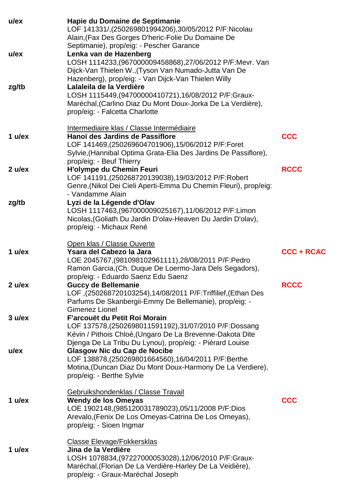| $u$ /ex   | Hapie du Domaine de Septimanie<br>LOF 141331/,(250269801994206),30/05/2012 P/F:Nicolau<br>Alain, (Fax Des Gorges D'heric-Folie Du Domaine De<br>Septimanie), prop/eig: - Pescher Garance                                         |                   |
|-----------|----------------------------------------------------------------------------------------------------------------------------------------------------------------------------------------------------------------------------------|-------------------|
| $u$ /ex   | Lenka van de Hazenberg<br>LOSH 1114233,(967000009458868),27/06/2012 P/F:Mevr. Van<br>Dijck-Van Thielen W., (Tyson Van Numado-Jutta Van De<br>Hazenberg), prop/eig: - Van Dijck-Van Thielen Willy                                 |                   |
| zg/tb     | Lalaleila de la Verdière<br>LOSH 1115449, (94700000410721), 16/08/2012 P/F: Graux-<br>Maréchal, (Carlino Diaz Du Mont Doux-Jorka De La Verdière),<br>prop/eig: - Falcetta Charlotte                                              |                   |
| 1 $u$ /ex | Intermediaire klas / Classe Intermédiaire<br>Hanoï des Jardins de Passiflore<br>LOF 141469,(250269604701906),15/06/2012 P/F:Foret<br>Sylvie, (Hannibal Optima Grata-Elia Des Jardins De Passiflore),<br>prop/eig: - Beuf Thierry | <b>CCC</b>        |
| 2 ulex    | <b>H'olympe du Chemin Feuri</b><br>LOF 141191,(250268720139038),19/03/2012 P/F:Robert<br>Genre, (Nikol Dei Cieli Aperti-Emma Du Chemin Fleuri), prop/eig:<br>- Vandamme Alain                                                    | <b>RCCC</b>       |
| zg/tb     | Lyzi de la Légende d'Olav<br>LOSH 1117463, (967000009025167), 11/06/2012 P/F: Limon<br>Nicolas, (Goliath Du Jardin D'olav-Heaven Du Jardin D'olav),<br>prop/eig: - Michaux René                                                  |                   |
| 1 $u$ /ex | Open klas / Classe Ouverte<br>Ysara del Cabezo la Jara<br>LOE 2045767, (981098102961111), 28/08/2011 P/F: Pedro<br>Ramon Garcia, (Ch. Duque De Loermo-Jara Dels Segadors),<br>prop/eig: - Eduardo Saenz Edu Saenz                | <b>CCC + RCAC</b> |
| 2 u/ex    | <b>Guccy de Bellemanie</b><br>LOF, (250268720103254), 14/08/2011 P/F: Triffilief, (Ethan Des<br>Parfums De Skanbergii-Emmy De Bellemanie), prop/eig: -<br><b>Gimenez Lionel</b>                                                  | <b>RCCC</b>       |
| 3 ulex    | F'arcouët du Petit Roi Morain<br>LOF 137578,(2502698011591192),31/07/2010 P/F:Dossang<br>Kévin / Pithois Chloé, (Ungaro De La Brevenne-Dakota Dite<br>Djenga De La Tribu Du Lynou), prop/eig: - Piérard Louise                   |                   |
| u/ex      | <b>Glasgow Nic du Cap de Nocibe</b><br>LOF 138878,(250269801664560),16/04/2011 P/F:Berthe<br>Motina, (Duncan Diaz Du Mont Doux-Harmony De La Verdiere),<br>prop/eig: - Berthe Sylvie                                             |                   |
| 1 $u$ /ex | Gebruikshondenklas / Classe Travail<br><b>Wendy de los Omeyas</b><br>LOE 1902148, (985120031789023), 05/11/2008 P/F:Dios<br>Arevalo, (Fenix De Los Omeyas-Catrina De Los Omeyas),<br>prop/eig: - Sioen Ingmar                    | <b>CCC</b>        |
| 1 $u$ /ex | <b>Classe Elevage/Fokkersklas</b><br>Jina de la Verdière<br>LOSH 1078834, (97227000053028), 12/06/2010 P/F: Graux-<br>Maréchal, (Florian De La Verdière-Harley De La Veidière),<br>prop/eig: - Graux-Maréchal Joseph             |                   |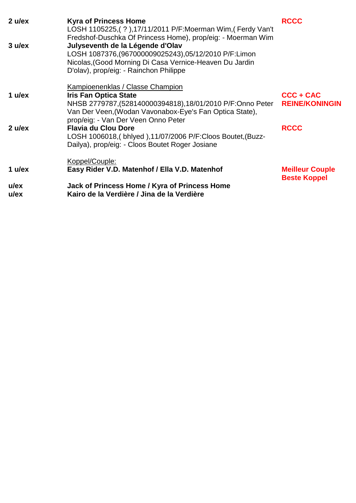| 2 ulex             | <b>Kyra of Princess Home</b><br>LOSH 1105225, (?), 17/11/2011 P/F: Moerman Wim, (Ferdy Van't<br>Fredshof-Duschka Of Princess Home), prop/eig: - Moerman Wim                                     | <b>RCCC</b>                                   |
|--------------------|-------------------------------------------------------------------------------------------------------------------------------------------------------------------------------------------------|-----------------------------------------------|
| 3 ulex             | Julyseventh de la Légende d'Olav<br>LOSH 1087376, (967000009025243), 05/12/2010 P/F: Limon<br>Nicolas, (Good Morning Di Casa Vernice-Heaven Du Jardin<br>D'olav), prop/eig: - Rainchon Philippe |                                               |
|                    | Kampioenenklas / Classe Champion                                                                                                                                                                |                                               |
| 1 $u$ /ex          | <b>Iris Fan Optica State</b><br>NHSB 2779787,(528140000394818),18/01/2010 P/F:Onno Peter<br>Van Der Veen, (Wodan Vavonabox-Eye's Fan Optica State),<br>prop/eig: - Van Der Veen Onno Peter      | CCC + CAC<br><b>REINE/KONINGIN</b>            |
| 2 ulex             | <b>Flavia du Clou Dore</b><br>LOSH 1006018, (bhlyed), 11/07/2006 P/F: Cloos Boutet, (Buzz-<br>Dailya), prop/eig: - Cloos Boutet Roger Josiane                                                   | <b>RCCC</b>                                   |
|                    | Koppel/Couple:                                                                                                                                                                                  |                                               |
| 1 $u$ /ex          | Easy Rider V.D. Matenhof / Ella V.D. Matenhof                                                                                                                                                   | <b>Meilleur Couple</b><br><b>Beste Koppel</b> |
| $u$ /ex<br>$u$ /ex | Jack of Princess Home / Kyra of Princess Home<br>Kairo de la Verdière / Jina de la Verdière                                                                                                     |                                               |